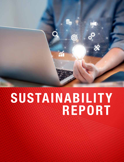# SUSTAINABILITY REPORT

 $\odot$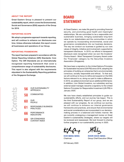## ABOUT THE REPORT

Great Eastern Group is pleased to present our sustainability report, which covers the Environmental, Social and Governance (ESG) aspects of the Group for 2019.

## REPORTING SCOPE

We adopt a progressive approach towards reporting, and will continue to enhance our disclosures over time. Unless otherwise indicated, this report covers all businesses and operations of our Group.

# REPORTING FRAMEWORK

The report has been prepared in accordance with the Global Reporting Initiatives (GRI) Standards: Core Option. The GRI Standards are an internationally recognised reporting framework that cover a comprehensive range of sustainability disclosures. This report is also aligned with the requirements stipulated in the Sustainability Reporting guidelines of the Singapore Exchange.

**ntents** 

56 OUR SUSTAINABILITY APPROACH

58 COMMUNITIES

> OUR PEOPLE

60

- 61 RESPONSIBLE BUSINESS **PRACTICES**
- 66 PERFORMANCE INDICATORS
- 68 GRI STANDARDS CONTENT INDEX

BOARD STATEMENT

At Great Eastern, we make life great by providing financial security, and promoting good health and meaningful relationships. We are committed to be a responsible and sustainable business, bringing sustainable long-term value to our stakeholders and the communities in which we operate by incorporating environmental, social and governance considerations into our business decisions. The way we conduct our business is guided by our core values of integrity, initiative and involvement, supported by transparent disclosure. In 2019, our efforts in transparent disclosure were recognised when we won the Investors' Choice Award – Most Transparent Company Award under the 'Financials' category by the Securities Investors Association (Singapore).

We have been a signatory to the United Nations Principles for Sustainable Insurance (UN PSI) since 2018, adopting the principles of building an enterprise that is environmentally conscious, socially responsible and ethical. To that end, we will continue to focus to refine and expand on the ESG factors relevant to us, doing our part to make a difference. In 2019, we added environment as an additional ESG factor. In addition, Lion Global Investors, our subsidiary and key external asset manager, became a signatory to the United Nations Principles for Responsible Investment (UN PRI) in January 2020.

We now have clearly established principles to guide our sustainability efforts, and our journey has begun. This is the third Sustainability Report of our group, and we are pleased with our progress. As we continue our journey, we will continue to enhance our internal governance frameworks and practices, and ensure that environmental and social considerations are incorporated in our decisionmaking process in a balanced and holistic manner. We are currently undergoing a management review on Great Eastern's sustainability strategies, where our targets will be reviewed and reassessed. We look forward to sharing further progress in our sustainability journey in 2020.

KOH BENG SENG KHOR HOCK SENG Chairman Group Chief Executive Officer

28 February 2020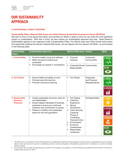# OUR SUSTAINABILITY APPROACH

# A SUSTAINABLE GREAT EASTERN

## Sustainability Pillars, Material ESG Issues and United Nations Sustainable Development Goals (UN SDGs)

We want to focus on the issues that matter, and prioritise our efforts in areas in which we can make the most significant impact on sustainability. With that in mind, we have refined our sustainability approach this year. Great Eastern's Sustainability agenda is now organized under 3 Sustainability Pillars. Our efforts under each Pillar include action plans that specifically address the relevant material ESG issues, and are aligned with the relevant UN SDGs1, as summarised in the following table:

| <b>Sustainability</b><br><b>Pillars</b>               | <b>Sustainability Objectives</b>                                                                                                                                 | <b>Material ESG Issue Impact</b>                                                         |                                               | <b>SDGs</b>       |
|-------------------------------------------------------|------------------------------------------------------------------------------------------------------------------------------------------------------------------|------------------------------------------------------------------------------------------|-----------------------------------------------|-------------------|
| 1. Communities                                        | Promote healthy living and wellness<br>$\bullet$<br>Make insurance inclusive and<br>$\bullet$<br>accessible<br>Encourage our people in volunteerism<br>$\bullet$ | Financial<br>$\bullet$<br>Inclusion                                                      | Customers,<br>Communities                     |                   |
|                                                       |                                                                                                                                                                  | Corporate Social<br>Responsibility                                                       | Communities                                   | 13 anis           |
| 2. Our People                                         | Ensure health and safety at work<br>$\bullet$<br>Promote work-life harmony<br>$\bullet$<br>Promote continuous learning<br>$\bullet$                              | Our People<br>$\bullet$                                                                  | Employees<br>and Financial<br>Representatives | $3500$ and $4051$ |
|                                                       |                                                                                                                                                                  |                                                                                          |                                               |                   |
| 3. Responsible<br><b>Business</b><br><b>Practices</b> | $\bullet$<br>Create sustainable economic value for<br>our stakeholders<br>Ensure highest standards of business<br>$\bullet$<br>practices to ensure our continued | Fair Dealing<br>$\bullet$<br>Customer<br>$\bullet$<br>Experience<br>Strong<br>$\bullet$  | All Stakeholders                              |                   |
|                                                       | existence and contribution to society.<br>Preserve a healthy and sustainable<br>$\bullet$<br>planet for the next generation.                                     | Governance<br>Cyber Security,<br>$\bullet$<br>Customer<br>Privacy &                      |                                               |                   |
|                                                       |                                                                                                                                                                  | Combating<br><b>Financial Crime</b><br>Environment <sup>2</sup><br>Economic<br>$\bullet$ |                                               |                   |
|                                                       |                                                                                                                                                                  | Contributions<br>Responsible<br>$\bullet$<br>Investment                                  |                                               | 13 温              |

<sup>1</sup> The SDGs are core elements of the 2030 Agenda for Sustainable Development that address a broad range of sustainability issues including decent work and economic growth, eradicating poverty, reducing inequality, strengthening governance in institutions, as well as tackling climate change.

<sup>2</sup> Environment and Climate Change are key concerns in the regions we operate in, and the Board has added the Environment to the list of material ESG factors for GEH.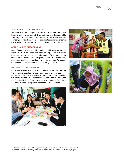$REPORT 2019 57$ REPORT 2019

Together with the management, the Board ensures that Great Eastern delivers on our ESG commitment. A Sustainability Steering Committee (SSC) has been formed to oversee the company's sustainability efforts. This committee comprises of senior management from across the Group, chaired by the Group CEO.

# STAKEHOLDER ENGAGEMENT

Great Eastern's key stakeholders include entities and individuals affected by our business and have an impact on our future performance and operating environment. These include our shareholders, customers, employees, financial representatives, regulators, and the communities in which we operate. We engage our stakeholders via various means on a regular basis.<sup>1</sup>

#### MATERIALITY ASSESSMENT

In creating sustainable value for our stakeholders, we consider the economic, social and environmental impacts of our business. At the start of our sustainability journey in 2017, we identified 9 material ESG factors of importance to Great Eastern². This year, the Board added the Environment as a 10th material ESG issue due to its increasing important impact to all stakeholders.







2 For details of our materiality assessment, please refer to our 2017 Sustainability Report.

 <sup>1</sup> For details of our stakeholder engagement, please refer to our 2018 Sustainability Report.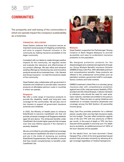# **COMMUNITIES**

The prosperity and well-being of the communities in which we operate impact the company's sustainability as a business.

# FINANCIAL INCLUSION

Great Eastern believes that insurance serves an important social purpose of mitigating uncertainties, and aims to support financial inclusion in the community by making insurance accessible to the larger community.

Consistent with our desire to create stronger positive impacts for the community, we regularly review and evaluate the relevance and effectiveness of our product offerings. We also refine and enhance existing offerings by introducing new and innovative products across all our business lines – Life, General and Group insurance – to meet the insurance needs of the community.

Great Eastern also collaborates with government in schemes and initiatives to provide basic insurance products at affordable premium costs in countries in which we operate.

#### **Singapore**

We offer a wide range of insurance products to provide life, disability, health and long-term care coverage for the communities. We are also one of two insurers to support all government insurance schemes and initiatives.

In 2020, the Ministry of Health plans to enhance ElderShield to become CareShield Life that will provide universal coverage to all Singapore residents aged 30 and above. The enhanced benefits under CareShield Life include higher payouts that increase over time and lifetime payouts if the claimant is severely disabled.

We are committed to providing additional coverage over and above CareShield Life when it is launched, and are in the midst of reviewing our existing ElderShield Supplementary Plan benefits to ensure that they remain complementary to benefits under CareShield Life.



#### **Malaysia**

Great Eastern supported the Perlindungan Tenang initiative of Bank Negara Malaysia to provide accessible and easy-to-understand insurance protection to the population.

We designed protection products for the disadvantaged and underserved segments through our Group Multiple Benefits Insurance Scheme (GMBIS) & Easy Care Plus. With affordable premium and comprehensive benefits, these products are offered to the underserved communities such as plantation workers, government staff in rural areas, factory workers and hotel workers.

GMBIS Investment Linked Plan is a voluntary group insurance plan with comprehensive protection against loss of life, total permanent disability (TPD), accident and 36 critical illnesses. It allows members to withdraw units should the need for cash arise. Upon maturity, members are entitled to the policy's cash value. There are also on-going initiatives and roadshows to increase insurance awareness and coverage among the B40 (bottom 40 percentile) income group.

Easy Care Plus provides protection for a defined period, usually when one has high insurance needs but low budget. The plan offers protection against loss of life and TPD with low premiums of RM10 per month. In the event of death or TPD, the Sum Assured will be payable in one lump sum. For death due to accidents, an additional amount of 100% of the Sum Assured will be payable.

On the takaful front, we have launched i-Great Harapan Plus, a first-of-its-kind guaranteed issued product that promotes inclusivity by allowing all to get coverage regardless of medical background.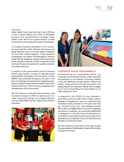# Indonesia

Great Health Cover was launched in early 2019 as a rider to Great Optima Link. With its affordable premium and comprehensive coverage, Great Health Cover aims to be a good solution to meet the protection and investment needs of Indonesians.

To increase insurance penetration in the country, we launched the Great Medical Assurance and Great Medical Cover to provide health protection for the youth market segment. These products complement the Badan Penyelenggara Jaminan Sosial (BPJS) Kesehatan (government-sponsored health insurance scheme). In 2019, we also launched the Great Treasure Assurance for wealth protection and estate planning.

In support of the government's push for financial literacy and inclusion, a series of corporate social responsibility campaigns with the theme of LIVE GREAT was conducted throughout the year in the form of workshops and seminars for targeted groups. Topics covered included financial health checks and financial planning. In 2019, the group targeted were entrepreneurs and communities.

We will continue to promote financial literacy and insurance inclusion in 2020 by reaching out to a wider community through our strategic partners such as OCBC NISP, Yes Dok, Kalbe Farma & Bisnis Indonesia.





## CORPORATE SOCIAL RESPONSIBILITY

Complementing our sustainability efforts, our Corporate Social Responsibility (CSR) practices are anchored on four themes: Promoting Healthy Living and Wellness through Sports, Helping the Needy, Empowerment through Education and Supporting the Environment. Please refer to pages 44-47 of our Annual Report for more details on our CSR initiatives in 2019

In response to the COVID-19 virus outbreak in early 2020, we set up a S\$1 million holistic support package in Singapore to help our customers and immediate family members in the event that they are infected by the virus, and pledged another RM1 million and B\$50,000 for the same in Malaysia and Brunei. In addition, we contributed S\$200,000 in Singapore to provide financial assistance to vulnerable communities through the Courage Fund, facilitated by the National Council of Social Service (NCSS) & Community Chest.

We will continue to give back to the communities through a series of Great Eastern Cares CSR activities throughout the year.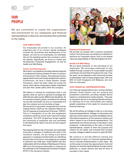# OUR PEOPLE

We are committed to create the organisation and environment for our employees and financial representatives to discover and develop their potential to the fullest.

#### OUR EMPLOYEES

Our employees are pivotal to our success. An important part of our human capital strategies involves the recruitment and development of our people, not only for our businesses, but ultimately also for the industries and for the countries in which we operate. Specifically, we focus on Career and Development, Employee Engagement, as well as Health and Well-Being.

#### Career and Development

We invest in our people by providing relevant personal or professional training needed for them to perform and advance in their careers. All employees receive regular performance and career development reviews. Furthermore, we have a Great Eastern Career Framework, which has been rolled out across the Group, which allows employees to better understand and plan their career paths within the company.

We believe in training our employees both in job specific skills as well as in general knowledge and skills that are useful across different job disciplines. As an important industry player, we believe the training we provide will benefit not only our businesses but also the industry and communities at large. We are proud to have been recognised as a Human Capital Partner (HCP) by the Tripartite Alliance for Fair & Progressive Employment Practices' (TAFEP). This is in recognition of our fair and progressive workplace practices across both local and foreign employees. The HCP programme brings together the community of employers who are committed to developing their talent core and we fully support the cause.

Recognising that the rise of Insurtech can potentially bring about changes to traditional job roles in the insurance industry, we are taking a pro-active approach in workplace transformation by identifying the job roles of the future, and preparing our people to embrace new skills sets. Great Eastern has also collaborated with the Institute of Banking and Finance (IBF) and Life Insurance Association in charting out the roadmap for the Professional Conversion Program (PCP) in the insurance industry.



#### Employee Engagement

We provide our people with a positive workplace culture. During the year, we ramped up initiatives to reinforce our corporate culture, built on the shared value and responsibility of "Moving Together As One".

#### Health and Well-Being

We put great emphasis on the well-being of our employees. We encourage employees to stay healthy through a series of in-house health-focused workshops and activities throughout the year. Over the years, we are pleased to see continuing increase in participation rate for these programmes, with over 80% for both Singapore and Malaysia, and over 50% for Indonesia.

#### OUR FINANCIAL REPRESENTATIVES

Our financial representatives are a critical interface between Great Eastern and our existing and prospective customers, providing valuable advice based on comprehensive needs analysis. They play an important role too in increasing financial inclusion, by reaching out to the communities and creating greater awareness of the needs for insurance and financial planning.

We will be setting up Voltage to help us in recruiting financial representatives. Voltage is a information and discovery centre where we provide candidates with an informative experience of the insurance industry and what it means to be a financial representative. The experiential recruitment journey is intended to raise prospects' understanding of the roles of financial representatives, explain to them the purpose and mission for the career, and motivate them towards success. Voltage is slated for launch in early Q2 2020.

We continue to provide effective training and development to grow our financial representatives and to cultivate professionalism in their sales. We continuously innovate new approaches to train and develop our financial representatives through various platforms, to impart relevant skill sets for them to succeed in their career.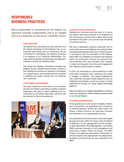# RESPONSIBLE BUSINESS PRACTICES

Being responsible in everything we do shapes our approach towards sustainability and is an integral part of our business as well as our corporate culture.

# FAIR DEALING

We believe that upholding the best practices and the highest standards of Fair Dealing is key to our long-term partnership with our customers. We are committed to embedding Fair Dealing principles in all aspects of our customer relationships. Our organisational policies and practices are aligned to cultivate a strong Fair Dealing culture.

The Group Fair Dealing Committee oversees Fair Dealing issues. Detailed performance metrics in Fair Dealing are tracked and reported to the Board on a regular basis, and remedial actions are taken to address any issues arising from our dealings with customers.

# CUSTOMER EXPERIENCE

We place customers at the heart of our business and are committed to providing a holistic customer experience. We want to make a difference for our customers by providing meaningful solutions that are relevant to their circumstances.



# Customer Service Standards

Satisfactory customer services help us to serve and deliver insurance products to all segments of the communities, and we have in place policies and procedures that allow us to provide high standards of customer service.

We have a dedicated Customer Advocate Unit to ensure that issues and feedback from policyholders are addressed professionally and in a timely manner, in accordance with the principles of Fair Dealing. About 90% of complaints we received were resolved within the prescribed internal turn-around time. The remaining 10% were typically more complex in nature and required more time and engagement with affected policyholders to resolve.

In 2019, we enhanced our online platforms to offer more direct interaction with customers who prefer to engage us digitally. Our digital engagement with customers includes mobile platforms such as GetGreat and UpGreat, as well as a suite of mobile applications through our Great Digital Advantage platform.

We are building up our digital capabilities to enhance customer experience. These initiatives are described in our Annual Report.

# STRONG GOVERNANCE

Firmly guided by our core values of integrity, initiative and involvement, we emphasise the importance of institutionalising a strong risk culture within the Group, a factor crucial to our long-term success, and important to our sustainability journey.

Our governance and risk focused culture permeates through all levels within the Group, from the Board of Directors, to the management and the frontline. A dedicated Board Risk Management Committee (RMC) provides oversight on risk management and governance matters within the Group. The RMC reviews and approves governance frameworks or policies based on the appropriate risk assessment. Incidents involving fraud are also reported to the RMC.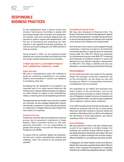# **RESPONSIBLE** BUSINESS PRACTICES

At the management level, a Group Culture and Conduct Governance Committee is tasked with promoting stronger risk ownership and awareness. All business units and functional departments are required to perform regular self-assessments, with the aim of identifying and evaluating key risks inherent in the respective business operations, as well as ensuring the adequacy and effectiveness of internal controls.

Going forward in 2020, we are working towards weaving risk culture principles and behaviours into the Human Capital frameworks and processes.

# CYBER SECURITY, CUSTOMER PRIVACY AND COMBATING FINANCIAL CRIME

#### Cyber Security

We have a comprehensive cyber risk roadmap to guide our continuing investments in our people, systems and processes to improve our resilience to increasing cyber risk.

Increasing the risk awareness of our people in an important part of our cyber security defences. We reinforce and measure staff awareness and vigilance on cyber threats via regular e-mail broadcasting, videos, e-learning and social engineering exercises.

Recognising that new threats may come from outside our business, we also engage independent experts periodically to assess our cyber security and advise on measures to mitigate external cyber threats that may impact our business.

#### Customer Privacy

Protecting customer data and respecting customer privacy are of paramount importance to Great Eastern. When customers entrust us with their personal information, it is our responsibility to protect their privacy in line with the Personal Data Protection Act (PDPA).

To ensure that all customer details are protected, we have put in place comprehensive policies and initiatives, which will continue to be reviewed and updated.

## Combating Financial Crime

We have zero tolerance for financial crime. The Board of Directors and Senior Management together provide strong leadership, oversight and governance to ensure that appropriate and relevant anti-financial crime policies and initiatives are implemented.

Anti-financial crime culture is promulgated through compulsory e-learning courses for all employees conducted regularly to raise the level of awareness among staff. Our AML/CFT efforts are supported by comprehensive group wide AML/CFT screening and transaction surveillance systems to ensure full adherence to the relevant regulatory requirements on AML/CFT. This helps us identify and stop any attempts in money laundering and terrorist financing.

## ENVIRONMENT

As the world becomes more aware of the adverse impact the business community collectively has on the environment, we are doing our part and focusing our efforts in incorporating environment considerations into our business.

The operations at our offices and branches have direct impact on the environment, and we are exploring ways to minimise our carbon footprint. As one of Singapore's largest insurance companies and a good corporate citizen, we want to play a significant role in helping to reduce carbon emissions.

In our effort towards environmental conservation, we operate our business with the aim of using natural resources rationally, leading to reduced waste and emissions. We believe that our efforts will safeguard the well-being of future generations, and reduce operating costs in the long term.

## Green Buildings

We have started to invest in the right infrastructure as part of our response to climate change. Our buildings are certified energy efficient based on prevailing standards where they are located. We have a portfolio of green buildings that provide energyefficient facilities to our employees and other tenants.

In Singapore, the Green Eastern Centre and offices in Nankin Row have been awarded Green Mark Platinum status, which required the properties to undertake extensive air-conditioning upgrading exercise. Existing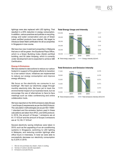lightings were also replaced with LED lighting. That resulted in a 20% reduction in energy consumption. In addition, various practices and policies on recycling, energy and water conservation and use of Green Label certified products have started. We target to introduce Green Mark certification for all our properties in Singapore in due course.

We have two new investment properties in Malaysia that are or will be green: the Equatorial Plaza Office, which is a Green Building Index (Gold) certified building, and 50 Jalan Ampang, which is currently under development and is expected to achieve GBI Certification.

## Energy & Emissions

We have started to take actions to reduce our carbon footprint in support of the global efforts to transition to a low-carbon future. Initiatives are implemented to reduce our energy consumption and improve energy efficiency.

We focus on the electricity we consume in our buildings<sup>1</sup>. We track our electricity usage through monthly electricity bills. We have yet to track the environmental impact of our business travel, but we encourage the use of alternatives to face-to-face meetings such as video conferencing and online collaboration tools.

We have reported on the GHG emissions data (Scope 1 and Scope 2) requirements as per the GHG Protocol. The calculation methodologies are as per ISO 14064- 1 standard and the emission factors used in these calculations are taken from IPCC, and GHG protocol. In 2019, the amount of Scope 1 emissions are at 61.17 tCO2e2 and the amount of Scope 2 emissions are at  $15,135.17$  tCO<sub>2</sub>e<sup>3</sup>.

Several electricity saving initiatives were taken in 2019, such as the upgrading of our air-conditioning systems in Singapore, switching to LED lighting in Malaysia, and reducing corridor lightings after office hours in Indonesia. In total we were able to successfully decrease our electricity consumption by 5.22% in 2019.

- 1 We do not purchase any steam, heat or cooling.
- 2 Tonnes of carbon dioxide equivalent.
- 3 Emissions exclude Brunei.

## Total Energy Usage and Intensity





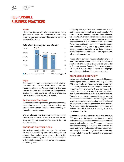# **RESPONSIBLE** BUSINESS PRACTICES

## **Water**

The direct impact of water consumption in our premises is limited, but we believe in contributing what we can, and we report this metric is part of our sustainability efforts.





#### Paper

Our industry is traditionally paper-intensive but we are committed towards waste minimization and resources efficiency. We are mindful of the need to save the trees and have been exploring ways to digitalise our operations, as well as to encourage use of e-documents for our customers.

#### Environmental Compliance

In line with increasing focus on global environmental protection, we continue to update our policies and procedures to ensure that they meet prevailing on regulatory requirements.

We are pleased that there were no breaches in relation to environmental laws in 2019, and we aim to remain fully compliant with environmental rules and regulations.

## ECONOMIC CONTRIBUTIONS

We believe sustainability practices do not have to result in sacrificing economic values to our stakeholders, including our shareholders. In the course of conducting our business sustainably, we will generate economic value for our stakeholders in the long term.

Our group employs more than 30,000 employees and financial representatives in total globally. We support the business communities at large wherever we operate. We procure from local suppliers as part of our support towards long-term development of the local economies in all markets in which we operate. We also support local job creation through the goods and services we buy. Our supply chain includes asset managers, consultancy services, legal, real estate/facilities maintenance, IT and system and other service providers.

Please refer to our Performance Indicators on pages 66-67 for a detailed breakdown of our economic value creation which benefits all stakeholders. Our Letter to Shareholders and Financial Statements on pages 10-15, 95-214 of the Annual Report also highlight our achievements in creating economic value.

#### RESPONSIBLE INVESTMENT

As the most established insurance group in Singapore and Malaysia, and a leader in the industry with SGD 96.5 billion in total assets under management, we are in a unique position to bring about positive changes in our industry, environment and community by investing our funds in a responsible way that delivers long-term sustainable value for all our stakeholders. Through the economic power and influence we hold as an institutional investor and risk manager, we can play an important role in promoting best practices in environmental, social and governance (ESG) matters. We are committed to responsible investing as we believe it is critical towards achieving long-term sustainable returns.

Our approach towards responsible investing is through ESG assessment, incorporating environmental, social and corporate governance issues into our investment analysis and decision making. This approach is more holistic versus simple exclusion, as it provides the opportunity to promote responsible and sustainable business practices and brings about positive change in corporate behaviour through active engagement as investors.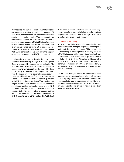In Singapore, we have incorporated ESG factors into our manager evaluation and selection process. We have clearly communicated our preference for external asset managers who practise ESG assessment. Lion Global Investors (LGI), our subsidiary and key external asset manager, became a United Nations Principles of Responsible Investment (UNPRI) signatory. LGI is proactively incorporating ESG issues into its investment analysis and decision-making processes. With LGI's participation, we now have the majority of our assets managed by UNPRI signatories.

In Malaysia, we support bonds that have been accorded Sustainability Ratings or Second Opinion Reports provided by accredited consultants. The Sustainability Rating of an issuer is based on an assessment methodology developed by RAM Consultancy to measure ESG and positive impact from the alignment of the issuer's business activities towards the United Nations' Sustainable Development Goals. The Second Opinion Report, provided by RAM Consultancy and CICERO, evaluates a project's contribution towards the development of a sustainable and low carbon future. As at end 2019, we have S\$69 million (RM213 million) invested in bonds with Sustainability Rating or Second Opinion Report. We have also increased our investment to UNPRI signatories to S\$404 million (RM1.2 billion).

In the years to come, we will strive to act in the longterm interests of our stakeholders while continue to generate financial returns through responsible investing with greater ESG focus.

## Lion Global Investors

In 2019, Lion Global Investors (LGI), our subsidiary and key external asset manager, began incorporating ESG factors into its investment process. This culminated in LGI becoming a UNPRI signatory in January 2020. As a UNPRI signatory, LGI joins an international network of more than 2,500 investors that publicly commit to follow the UNPRI six Principles for Responsible Investment in its investment practices. LGI will continue to refine its investment processes to fully embed ESG factors in all investment decisions and active ownership.

As an asset manager within the broader business landscape and investment ecosystem, LGI believes that adopting sustainable business policies and responsible investment practices will lead to longterm optimal business performance and economic growth. This in turn will create sustainable, long-term value for all stakeholders.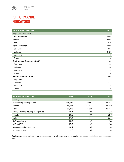

# PERFORMANCE **INDICATORS**

| <b>Performance Indicators</b>       | 2019        |
|-------------------------------------|-------------|
| Employee Information                |             |
| <b>Total Headcount</b>              | 4,595       |
| Female                              | 2,955       |
| Male                                | 1,640       |
| <b>Permanent Staff</b>              | 4,533       |
| Singapore                           | 1,657       |
| Malaysia                            | 2,420       |
| Indonesia                           | 443         |
| <b>Brunei</b>                       | 13          |
| <b>Contract and Temporary Staff</b> | 62          |
| Singapore                           | 25          |
| Malaysia                            | 28          |
| Indonesia                           | 9           |
| <b>Brunei</b>                       | $\mathbf 0$ |
| <b>Indirect Contract Staff</b>      | 405         |
| Singapore                           | 123         |
| Malaysia                            | 277         |
| Indonesia                           | 5           |
| <b>Brunei</b>                       | 0           |

| <b>Performance Indicators</b>       | 2019    | 2018      | 2017      |
|-------------------------------------|---------|-----------|-----------|
| Training                            |         |           |           |
| Total training hours per year       | 138,182 | 129,881   | 96,701    |
| Female                              | 86,726  | 83,323    | 58,300    |
| Male                                | 51,456  | 46,558    | 38,401    |
| Average training hours per employee | 30.1    | 30.5      | 23.3      |
| Female                              | 29.3    | 30.1      | 21.6      |
| Male                                | 31.4    | 31.4      | 26.4      |
| SVP and above                       | 39.5    | NA        | <b>NA</b> |
| AVP and VP                          | 37.3    | NA        | <b>NA</b> |
| Managers and Associates             | 30.1    | NA        | <b>NA</b> |
| Non-executives                      | 19.3    | <b>NA</b> | NA        |

Employee data are collated in our oracle platform, which helps us monitor our key performance disclosures on a quarterly basis.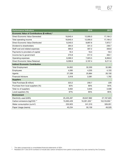| <b>Performance Indicators</b>                  | 2019       | 2018         | 2017         |
|------------------------------------------------|------------|--------------|--------------|
| Economic Value of Contributions (\$ million) * |            |              |              |
| Direct Economic Value Generated                | 18,640.4   | 12,095.0     | 17,184.3     |
| Total operating income                         | 18,640.4   | 12,095.0     | 17,184.3     |
| Direct Economic Value Distributed              | 9,340.5    | 8,897.6      | 7,972.7      |
| Dividend to shareholders                       | 284.0      | 331.3        | 236.7        |
| Staff cost and related expenses                | 395.0      | 307.2        | 359.6        |
| Payments to providers of capital               | 18.3       | 18.3         | 18.3         |
| Income tax to government                       | 273.9      | 317.3        | 402.1        |
| Operating expenses                             | 8,369.3    | 7,923.5      | 6,956.0      |
| Direct Economic Value Retained                 | 9,299.9    | 3,197.4      | 9,211.6      |
| <b>Indirect Economic Contribution</b>          |            |              |              |
| <b>Total Employment</b>                        | 34,852     | 32,200       | 32,065       |
| Employees                                      | 4,595      | 4,255        | 4,153        |
| Agents                                         | 27,339     | 25,864       | 26,150       |
| <b>Financial Advisors</b>                      | 2,918      | 2,081        | 1,762        |
| <b>Suppliers</b>                               |            |              |              |
| Total Purchase (\$ million)                    | 323.2      | 256.7        | 229          |
| Purchase from local suppliers (%)              | 92%        | 90%          | 94%          |
| Total no of suppliers                          | 3,832      | 3,645        | 3,509        |
| Local suppliers (%)                            | 97%        | 95%          | 95%          |
| <b>Environment</b>                             |            |              |              |
| Electricity used (kWh)                         | 25,435,497 | 26,847,862   | 27, 167, 623 |
| Carbon emissions (kgCO2) **                    | 15,063,429 | 16,281,320 * | 16,518,050 * |
| Water consumption (cu/m <sup>3</sup> )         | 232,923    | 241,310      | 326,051      |
| Paper Usage (reams)                            | 45,234     | 50,159       | 49,529       |

\* The data corresponds to consolidated financial statements of GEH.

\*\* Restated 2017 and 2018 numbers to Include also carbon emissions from petrol consumptions by cars owned by the Company.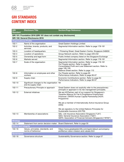# GRI STANDARDS CONTENT INDEX

| <b>GRI</b><br><b>Standard</b>                                       | <b>Disclosure Title</b>                                                | <b>Section/Page Reference</b>                                                                                                                                                                                                                  |  |
|---------------------------------------------------------------------|------------------------------------------------------------------------|------------------------------------------------------------------------------------------------------------------------------------------------------------------------------------------------------------------------------------------------|--|
| GRI 101: Foundation 2016 (GRI 101 does not contain any disclosures) |                                                                        |                                                                                                                                                                                                                                                |  |
|                                                                     | <b>GRI 102: General Disclosures 2016</b>                               |                                                                                                                                                                                                                                                |  |
| <b>Organisational Profile</b>                                       |                                                                        |                                                                                                                                                                                                                                                |  |
| 102-1                                                               | Name of the organisation                                               | Great Eastern Holdings Limited                                                                                                                                                                                                                 |  |
| $102 - 2$                                                           | Activities, brands, products, and<br>services                          | Segmental Information section. Refer to page 178-181                                                                                                                                                                                           |  |
| $102 - 3$                                                           | Location of headquarters                                               | 1 Pickering Street, Great Eastern Centre, Singapore 048659                                                                                                                                                                                     |  |
| $102 - 4$                                                           | Location of operations                                                 | Group Network section. Refer to page 229-232                                                                                                                                                                                                   |  |
| $102 - 5$                                                           | Ownership and legal form                                               | Public limited company listed on the Singapore Exchange                                                                                                                                                                                        |  |
| $102 - 6$                                                           | Markets served                                                         | Segmental Information section. Refer to page 178-181                                                                                                                                                                                           |  |
| $102 - 7$                                                           | Scale of the organisation                                              | Segmental Information section. Refer to page 178-181<br>Our People section. Refer to page 60<br>Consolidated Profit and Loss Statement section. Refer to<br>page 108-109<br>Balance Sheet section. Refer to page 110                           |  |
| $102 - 8$                                                           | Information on employees and other<br>workers                          | Our People section. Refer to page 60<br>Performance Indicators. Refer to page 66-67                                                                                                                                                            |  |
| $102 - 9$                                                           | Supply chain                                                           | Economic Contributions section. Refer to page 64<br>Performance Indicators. Refer to page 66-67                                                                                                                                                |  |
| $102 - 10$                                                          | Significant changes to the organisation Nil<br>and its supply chain    |                                                                                                                                                                                                                                                |  |
| 102-11                                                              | Precautionary Principle or approach                                    | Great Eastern does not explicitly refer to the precautionary<br>principle or approach in its risk management principles.                                                                                                                       |  |
| 102-12                                                              | <b>External initiatives</b>                                            | We are HCPartner, part of our support for Singapore's<br>Tripartite Alliance for Fair & Progressive Employment<br>Practices' (TAFEP) Human Capital Partnership (HCP)<br>Programme<br>We are a member of Internationally Active Insurance Group |  |
|                                                                     |                                                                        | (IAIG)                                                                                                                                                                                                                                         |  |
|                                                                     |                                                                        | We are signatory to the United Nations Principles for<br>Sustainable Insurance (UN PSI)                                                                                                                                                        |  |
| 102-13                                                              | Membership of associations                                             | GEL: Life Insurance Association Singapore ("LIA")<br>GEG: General Insurance Association ("GIA")<br>GEFA: Association of Financial Advisers (Singapore) ("AFAS")                                                                                |  |
| <b>Strategy</b>                                                     |                                                                        |                                                                                                                                                                                                                                                |  |
| $102 - 14$                                                          | Statement from senior decision-maker Board Statement. Refer to page 55 |                                                                                                                                                                                                                                                |  |
| <b>Ethics and Integrity</b>                                         |                                                                        |                                                                                                                                                                                                                                                |  |
| 102-16                                                              | Values, principles, standards, and<br>norms of behaviour               | https://www.greateasternlife.com/sg/en/about-us/company-<br>profile/our-vision-mission-and-values.html                                                                                                                                         |  |
| <b>Governance</b>                                                   |                                                                        |                                                                                                                                                                                                                                                |  |
| 102-18                                                              | Governance structure                                                   | Sustainability Governance section. Refer to page 57                                                                                                                                                                                            |  |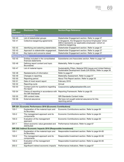| <b>GRI</b><br><b>Standard</b>                                    | <b>Disclosure Title</b>                                            | <b>Section/Page Reference</b>                                                                                                             |  |  |
|------------------------------------------------------------------|--------------------------------------------------------------------|-------------------------------------------------------------------------------------------------------------------------------------------|--|--|
| <b>Stakeholder Engagement</b>                                    |                                                                    |                                                                                                                                           |  |  |
| 102-40                                                           | List of stakeholder groups                                         | Stakeholder Engagement section. Refer to page 57                                                                                          |  |  |
| $102 - 41$                                                       | Collective bargaining agreements                                   | In Singapore, the Singapore Insurance Employees' Union<br>(SIEU) represents our applicable employees' cohort on<br>collective bargaining. |  |  |
| 102-42                                                           | Identifying and selecting stakeholders                             | Stakeholder Engagement section. Refer to page 57                                                                                          |  |  |
| 102-43                                                           | Approach to stakeholder engagement                                 | Stakeholder Engagement section. Refer to page 57                                                                                          |  |  |
| $102 - 44$                                                       | Key topics and concerns raised                                     | Stakeholder Engagement section. Refer to page 57                                                                                          |  |  |
| <b>Reporting Practice</b>                                        |                                                                    |                                                                                                                                           |  |  |
| 102-45                                                           | Entities included in the consolidated<br>financial statements      | Subsidiaries and Associates section. Refer to page 147                                                                                    |  |  |
| 102-46                                                           | Defining report content and topic<br><b>Boundaries</b>             | Materiality. Refer to page 57                                                                                                             |  |  |
| 102-47                                                           | List of material topics                                            | Sustainability Pillars, Material ESG Issues and United Nations<br>Sustainable Development Goals (UN SDGs). Refer to page 56               |  |  |
| 102-48                                                           | Restatements of information                                        | Refer to page 67                                                                                                                          |  |  |
| 102-49                                                           | Changes in reporting                                               | Materiality Assessment. Refer to page 57                                                                                                  |  |  |
| 102-50                                                           | Reporting period                                                   | About This Report section. Refer to page 55                                                                                               |  |  |
| $102 - 51$                                                       | Date of most recent report                                         | February 2019                                                                                                                             |  |  |
| 102-52                                                           | Reporting cycle                                                    | Annual                                                                                                                                    |  |  |
| 102-53                                                           | Contact point for questions regarding<br>the report                | Corpcomms-sg@greateasternlife.com                                                                                                         |  |  |
| 102-54                                                           | the GRI Standards                                                  | Claims of reporting in accordance with Reporting Framework. Refer to page 55                                                              |  |  |
| 102-55                                                           | <b>GRI</b> content index                                           | <b>GRI Standards Content Index</b>                                                                                                        |  |  |
| 102-56                                                           | External assurance                                                 | We have not sought external assurance for this<br>reporting period                                                                        |  |  |
| <b>Material Topics</b>                                           |                                                                    |                                                                                                                                           |  |  |
|                                                                  | <b>GRI 201: Economic Performance 2016 (Economic Contributions)</b> |                                                                                                                                           |  |  |
| $103 - 1$                                                        | Explanation of the material topic and<br>its Boundary              | Economic Contributions section. Refer to page 64                                                                                          |  |  |
| $103 - 2$                                                        | The management approach and its<br>components                      | Economic Contributions section. Refer to page 64                                                                                          |  |  |
| $103 - 3$                                                        | Evaluation of the management<br>approach                           | Economic Contributions section. Refer to page 64                                                                                          |  |  |
| $201 - 1$                                                        | Direct economic value generated and<br>distributed                 | Performance Indicators. Refer to page 67                                                                                                  |  |  |
| GRI 203: Indirect Economic Impacts 2016 (Responsible Investment) |                                                                    |                                                                                                                                           |  |  |
| $103 - 1$                                                        | Explanation of the material topic and<br>its Boundary              | Responsible Investment section. Refer to page 64-65                                                                                       |  |  |
| $103 - 2$                                                        | The management approach and its<br>components                      | Responsible Investment section. Refer to page 64-65                                                                                       |  |  |
| $103 - 3$                                                        | Evaluation of the management<br>approach                           | Responsible Investment section. Refer to page 64-65                                                                                       |  |  |
| 203-2                                                            | Significant indirect economic impacts                              | Performance Indicators. Refer to page 67                                                                                                  |  |  |
|                                                                  |                                                                    |                                                                                                                                           |  |  |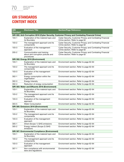# GRI STANDARDS CONTENT INDEX

| <b>GRI</b><br><b>Standard</b>                                                                  | <b>Disclosure Title</b>                                                        | <b>Section/Page Reference</b>                                                               |  |  |
|------------------------------------------------------------------------------------------------|--------------------------------------------------------------------------------|---------------------------------------------------------------------------------------------|--|--|
| GRI 205: Anti-Corruption 2016 (Cyber Security, Customer Privacy and Combating Financial Crime) |                                                                                |                                                                                             |  |  |
| $103 - 1$                                                                                      | Explanation of the material topic and<br>its Boundary                          | Cyber Security, Customer Privacy and Combating Financial<br>Crime section. Refer to page 62 |  |  |
| $103 - 2$                                                                                      | The management approach and its<br>components                                  | Cyber Security, Customer Privacy and Combating Financial<br>Crime section. Refer to page 62 |  |  |
| $103 - 3$                                                                                      | Evaluation of the management<br>approach                                       | Cyber Security, Customer Privacy and Combating Financial<br>Crime section. Refer to page 62 |  |  |
| $205 - 2$                                                                                      | Communication and training<br>about anti-corruption policies and<br>procedures | Cyber Security, Customer Privacy and Combating Financial<br>Crime section. Refer to page 62 |  |  |
|                                                                                                | GRI 302: Energy 2016 (Environment)                                             |                                                                                             |  |  |
| $103 - 1$                                                                                      | Explanation of the material topic and<br>its Boundary                          | Environment section. Refer to page 62-64                                                    |  |  |
| $103 - 2$                                                                                      | The management approach and its<br>components                                  | Environment section. Refer to page 62-64                                                    |  |  |
| $103 - 3$                                                                                      | Evaluation of the management<br>approach                                       | Environment section. Refer to page 62-64                                                    |  |  |
| $302 - 1$                                                                                      | Energy consumption within the<br>organisation                                  | Environment section. Refer to page 62-64                                                    |  |  |
| $302 - 3$                                                                                      | <b>Energy Intensity</b>                                                        | Environment section. Refer to page 62-64                                                    |  |  |
| $302 - 4$                                                                                      | Reduction of energy consumption                                                | Environment section. Refer to page 62-64                                                    |  |  |
|                                                                                                | GRI 303: Water and Effluents 2018 (Environment)                                |                                                                                             |  |  |
| $103 - 1$                                                                                      | Explanation of the material topic and<br>its Boundary                          | Environment section. Refer to page 62-64                                                    |  |  |
| $103 - 2$                                                                                      | The management approach and its<br>components                                  | Environment section. Refer to page 62-64                                                    |  |  |
| $103 - 3$                                                                                      | Evaluation of the management<br>approach                                       | Environment section. Refer to page 62-64                                                    |  |  |
| $303 - 5$                                                                                      | <b>Water Consumption</b>                                                       | Environment section. Refer to page 62-64                                                    |  |  |
|                                                                                                | GRI 305: Emissions 2016 (Environment)                                          |                                                                                             |  |  |
| $103 - 1$                                                                                      | Explanation of the material topic and<br>its Boundary                          | Environment section. Refer to page 62-64                                                    |  |  |
| $103 - 2$                                                                                      | The management approach and its<br>components                                  | Environment section. Refer to page 62-64                                                    |  |  |
| $103 - 3$                                                                                      | Evaluation of the management<br>approach                                       | Environment section. Refer to page 62-64                                                    |  |  |
| $305 - 1$                                                                                      | Direct (Scope 1) GHG emissions                                                 | Environment section. Refer to page 62-64                                                    |  |  |
| $305 - 2$                                                                                      | Energy indirect (Scope 2) GHG<br>emissions                                     | Environment section. Refer to page 62-64                                                    |  |  |
| <b>GRI 307: Environmental Compliance (Environment)</b>                                         |                                                                                |                                                                                             |  |  |
| $103 - 1$                                                                                      | Explanation of the material topic and<br>its Boundary                          | Environment section. Refer to page 62-64                                                    |  |  |
| $103 - 2$                                                                                      | The management approach and its<br>components                                  | Environment section. Refer to page 62-64                                                    |  |  |
| $103 - 3$                                                                                      | Evaluation of the management<br>approach                                       | Environment section. Refer to page 62-64                                                    |  |  |
| $307 - 1$                                                                                      | Non-compliance with environmental<br>laws and regulations                      | Environment section. Refer to page 62-64                                                    |  |  |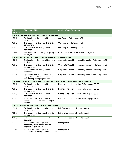| <b>GRI</b><br>Standard | <b>Disclosure Title</b>                                                                          | <b>Section/Page Reference</b>                             |
|------------------------|--------------------------------------------------------------------------------------------------|-----------------------------------------------------------|
|                        | GRI 404: Training and Education 2016 (Our People)                                                |                                                           |
| $103 - 1$              | Explanation of the material topic and<br>its Boundary                                            | Our People. Refer to page 60                              |
| $103 - 2$              | The management approach and its<br>components                                                    | Our People. Refer to page 60                              |
| $103 - 3$              | Evaluation of the management<br>approach                                                         | Our People. Refer to page 60                              |
| $404 - 1$              | Average hours of training per year per<br>employee                                               | Performance Indicators. Refer to page 66                  |
|                        | GRI 413: Local Communities 2016 (Corporate Social Responsibility)                                |                                                           |
| $103 - 1$              | Explanation of the material topic and<br>its Boundary                                            | Corporate Social Responsibility section. Refer to page 59 |
| $103 - 2$              | The management approach and its<br>components                                                    | Corporate Social Responsibility section. Refer to page 59 |
| $103 - 3$              | Evaluation of the management<br>approach                                                         | Corporate Social Responsibility section. Refer to page 59 |
| $413 - 1$              | Operations with local community<br>engagement, impact assessments,<br>and development programmes | Corporate Social Responsibility section. Refer to page 59 |
|                        | <b>GRI Financial Sector Supplement Disclosures: Local Communities (Financial Inclusion)</b>      |                                                           |
| $103 - 1$              | Explanation of the material topic and<br>its Boundary                                            | Financial Inclusion section. Refer to page 58-59          |
| $103 - 2$              | The management approach and its<br>components                                                    | Financial Inclusion section. Refer to page 58-59          |
| $103 - 3$              | Evaluation of the management<br>approach                                                         | Financial Inclusion section. Refer to page 58-59          |
| <b>FS14</b>            | Initiatives to improve access to<br>financial services for disadvantaged<br>people               | Financial Inclusion section. Refer to page 58-59          |
|                        | GRI 417: Marketing and Labeling 2016 (Fair Dealing)                                              |                                                           |
| $103 - 1$              | Explanation of the material topic and<br>its Boundary                                            | Fair Dealing section. Refer to page 61                    |
| $103 - 2$              | The management approach and its<br>components                                                    | Fair Dealing section. Refer to page 61                    |
| $103 - 3$              | Evaluation of the management<br>approach                                                         | Fair Dealing section. Refer to page 61                    |
| $417 - 2$              | Incidents of non-compliance<br>concerning product and service<br>information and labeling        | No significant cases                                      |
| 417-3                  | Incidents of non-compliance<br>concerning marketing communications                               | No significant cases                                      |